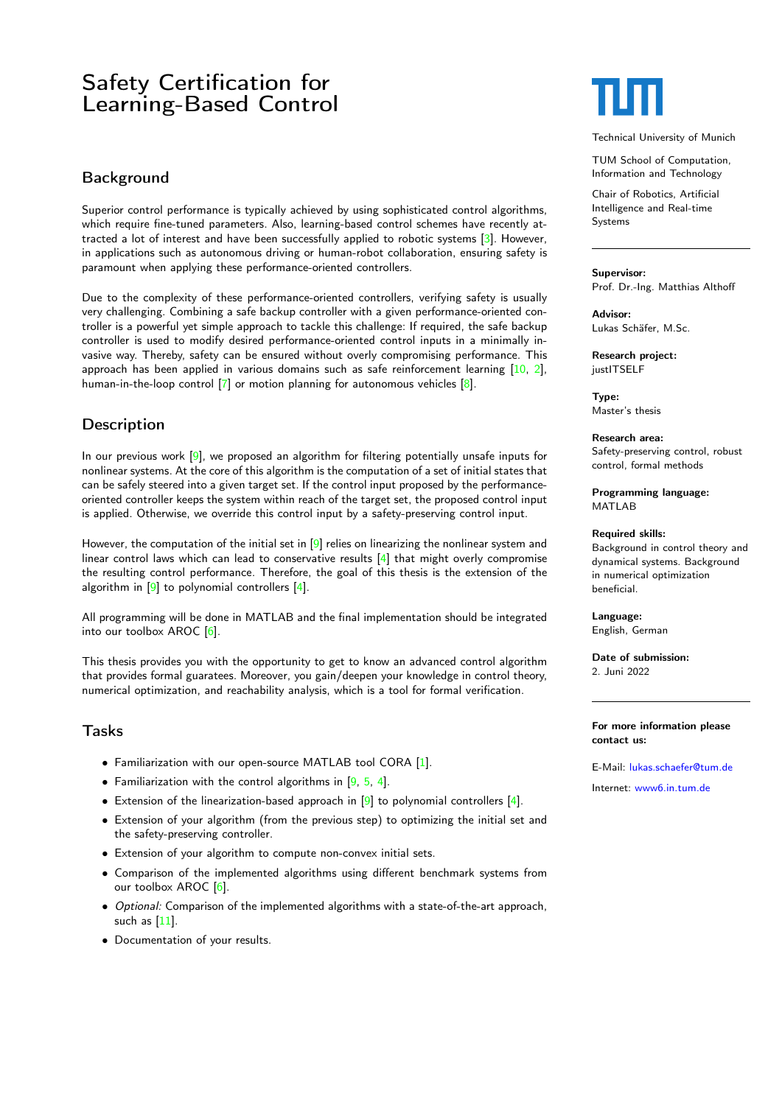# Safety Certification for Learning-Based Control

## Background

Superior control performance is typically achieved by using sophisticated control algorithms, which require fine-tuned parameters. Also, learning-based control schemes have recently attracted a lot of interest and have been successfully applied to robotic systems [\[3\]](#page-1-0). However, in applications such as autonomous driving or human-robot collaboration, ensuring safety is paramount when applying these performance-oriented controllers.

Due to the complexity of these performance-oriented controllers, verifying safety is usually very challenging. Combining a safe backup controller with a given performance-oriented controller is a powerful yet simple approach to tackle this challenge: If required, the safe backup controller is used to modify desired performance-oriented control inputs in a minimally invasive way. Thereby, safety can be ensured without overly compromising performance. This approach has been applied in various domains such as safe reinforcement learning [\[10,](#page-1-1) [2\]](#page-1-2), human-in-the-loop control [\[7\]](#page-1-3) or motion planning for autonomous vehicles [\[8\]](#page-1-4).

# **Description**

In our previous work  $[9]$ , we proposed an algorithm for filtering potentially unsafe inputs for nonlinear systems. At the core of this algorithm is the computation of a set of initial states that can be safely steered into a given target set. If the control input proposed by the performanceoriented controller keeps the system within reach of the target set, the proposed control input is applied. Otherwise, we override this control input by a safety-preserving control input.

However, the computation of the initial set in  $[9]$  relies on linearizing the nonlinear system and linear control laws which can lead to conservative results  $[4]$  that might overly compromise the resulting control performance. Therefore, the goal of this thesis is the extension of the algorithm in [\[9\]](#page-1-5) to polynomial controllers [\[4\]](#page-1-6).

All programming will be done in MATLAB and the final implementation should be integrated into our toolbox AROC [\[6\]](#page-1-7).

This thesis provides you with the opportunity to get to know an advanced control algorithm that provides formal guaratees. Moreover, you gain/deepen your knowledge in control theory, numerical optimization, and reachability analysis, which is a tool for formal verification.

### Tasks

- Familiarization with our open-source MATLAB tool CORA [\[1\]](#page-1-8).
- Familiarization with the control algorithms in [\[9,](#page-1-5) [5,](#page-1-9) [4\]](#page-1-6).
- Extension of the linearization-based approach in [\[9\]](#page-1-5) to polynomial controllers [\[4\]](#page-1-6).
- Extension of your algorithm (from the previous step) to optimizing the initial set and the safety-preserving controller.
- Extension of your algorithm to compute non-convex initial sets.
- Comparison of the implemented algorithms using different benchmark systems from our toolbox AROC [\[6\]](#page-1-7).
- Optional: Comparison of the implemented algorithms with a state-of-the-art approach, such as  $[11]$ .
- Documentation of your results.

Technical University of Munich

TUM School of Computation, Information and Technology

Chair of Robotics, Artificial Intelligence and Real-time Systems

### Supervisor:

Prof. Dr.-Ing. Matthias Althoff

Advisor: Lukas Schäfer, M.Sc.

Research project: justITSELF

Type: Master's thesis

Research area: Safety-preserving control, robust control, formal methods

Programming language: MATLAR

### Required skills:

Background in control theory and dynamical systems. Background in numerical optimization beneficial.

Language: English, German

Date of submission: 2. Juni 2022

### For more information please contact us:

E-Mail: [lukas.schaefer@tum.de](mailto:lukas.schaefer@tum.de) Internet: [www6.in.tum.de](http://www6.in.tum.de/)